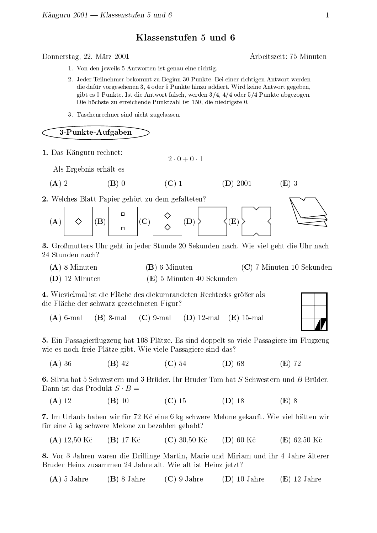## Klassenstufen 5 und 6

Depression 00 Mars 000

- \_a`cb7daefhgGejikgGlmgGn oqpsrjtseDuklmdavwu gGexnqpkusyagGez{xgGne|g}v nq~Du ny`
- h`agfhgGvmgGn oe|gG|gGvmgGadacumG{mgGyane|eac {|e|Du ga`DmgGngGne|gGvmv nq~Du nyagGetseDuklmdavwu%lmgGvfhgGe fhngf|z{|vadav yagpwgG|gGe|gGec|2dhfhgGv rs {|e|Du gm|ne|G{jzaf|fhngGvwu`Wn vfcagGne|gmtseDuklmdavwuyagGyagGgGe5 gibt es 0 Punkte. Ist die Antwort falsch, werden  $3/4$ ,  $4/4$  oder  $5/4$  Punkte abgezogen. Die höchste zu erreichende Punktzahl ist 150, die niedrigste 0.
- 3. Taschenrechner sind nicht zugelassen.

3-Punkte-Aufgaben

«7¬ ?HENHAI^C^®CBD¯°ABaFX

 $\Delta$ la Eugebois en 31 ac

$$
(A) 2 \t\t (B) 0 \t\t (C) 1
$$

 $\Omega$  Welches Dlatt Denien website in dem wefeltsten?



 $(\mathbf{D})$  0001

K3±|R²³R±(

 $\Omega$ ,  $C_{\mu\nu}$ Beentting HL, with in iting  $C_{\mu\nu}$  and  $\Omega$   $C_{\mu\nu}$  is in the individual  $W$  is independent in  $\Omega$ 24 Stunden nach?

 $(A)$  8 Minuten  $\mathcal{M}_{\text{model}}^{\text{model}}$  and  $\mathcal{D}\subseteq \mathcal{D}^{\text{model}}$   $\mathcal{D}^{\text{model}}$   $\mathcal{D}^{\text{model}}$   $\mathcal{D}^{\text{model}}$ 

 $(m)$  10.  $(E)$  5 Minuten 40 Sekunden

<u>d</u> Wiericlpes List die Fläche des diekumpendeten Dechtecks größen els ÂU]BÔ´ H¯°BÂBDCE¯°ÖHCPQIBDPDBDU]¯°ABaFWBDA'ÔU]I^CÆ <sup>N</sup>

 $(A)$  6-mal  $(\mathbf{B})$  8-mal  $(\mathbf{C})$  9-mal  $(\mathbf{D})$  12-mal  $(\mathbf{E})$  15-mal

 $\mathbb{F}$   $\mathbb{R}^1$  is Decoupled the Left (  $\mathbb{R}$  ) and  $\mathbb{R}$  and  $\mathbb{R}$  and  $\mathbb{R}$  are  $\mathbb{R}$  because  $\mathbb{R}$  in  $\mathbb{R}$  is expansional  $\mathbb{R}$ ÖUDBEADDEAN HEW III HEW HERE III D

 $(A)$  36  $(\mathbf{B})$  42  $(\mathbf{C})$  54  $(\mathbf{D})$  68  $(\mathbf{E})$  72

ݬ ÌU ´ÎUÞH°7HF/Z3̯°ÖjBDEGFWBDCA#^AÂ <sup>¼</sup> ¿jCN^ÂBDCDLßà°C}¿jC^ÂBDC}á2@Ãâ°7HF/ã-̯°ÖjBDEGFWBDCA#^AÂÛäå¿jCN^ÂBDCDL?HAA®U]EGFÂ7HEÀ/C@Â^ÍF3ã-±|äçæ

 $\wedge$  \  $\cdot$  $\Omega$  (D) 10  $(\Omega)$  15  $(\Omega)$  16  $(\Omega)$  10  $(\Pi)$  0

 $\bar{\sigma}$  - Le Helenhab bakan onin fite 70 I/X aina  $\ell$  les salonas Malana salon $\mu$  -Wia onial by then onin  $\ell$  , the international mode in the set of  $\ell$ 

 $(A \setminus 10$  $(B)$  17 Kč  $(C)$  30.50 Kč  $(D)$  60 Kč  $(E)$  62.50 Kč

0 Jon 9 Johnen wonen die Duilliaus Montin Monte vand Minister vand ika 4 Johne ölkenen. ¿jC^ÂBDCñBDU]APPD^EWHÃÃBDAÐKÏ í H°CBòH´ FL <sup>¾</sup>U]BòH´ FU]EGFñBDU]APjËBaFWPaFÆ

 $(A)$  5 Jahre  $(\mathbf{B})$  8 Jahre  $(\mathbf{C})$  9 Jahre  $(D)$  10 Jahre  $(E)$  12 Jahre



Arbeitszeit: 75 Minuten

 $(E)$  3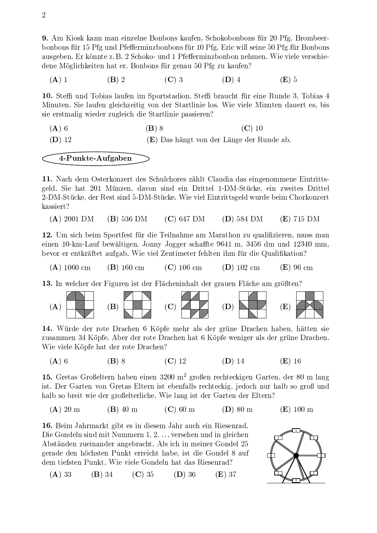9. Am Kiosk kann man einzelne Bonbons kaufen, Schokobonbons für 20 Pfg, Brombeerbonbons für 15 Pfg und Pfefferminzbonbons für 10 Pfg. Eric will seine 50 Pfg für Bonbons ausgeben. Er könnte z. B. 2 Schoko- und 1 Pfefferminzbonbon nehmen. Wie viele verschiedene Möglichkeiten hat er, Bonbons für genau 50 Pfg zu kaufen?

 $(C)$  3  $(A)$  1  $(B)$  2  $(D)$  4  $(E)$  5

10. Steffi und Tobias laufen im Sportstadion. Steffi braucht für eine Runde 3, Tobias 4 Minuten. Sie laufen gleichzeitig von der Startlinie los. Wie viele Minuten dauert es, bis sie erstmalig wieder zugleich die Startlinie passieren?

## 4-Punkte-Aufgaben

11. Nach dem Osterkonzert des Schulchores zählt Claudia das eingenommene Eintrittsgeld. Sie hat 201 Münzen, davon sind ein Drittel 1-DM-Stücke, ein zweites Drittel 2-DM-Stücke, der Rest sind 5-DM-Stücke. Wie viel Eintrittsgeld wurde beim Chorkonzert kassiert?

 $(A)$  2001 DM  $(B)$  536 DM  $(C)$  647 DM  $(D)$  584 DM  $(E)$  715 DM

12. Um sich beim Sportfest für die Teilnahme am Marathon zu qualifizieren, muss man einen 10-km-Lauf bewältigen. Jonny Jogger schaffte 9641 m, 3456 dm und 12340 mm, bevor er entkräftet aufgab. Wie viel Zentimeter fehlten ihm für die Qualifikation?

 $(A)$  1060 cm  $(B)$  160 cm  $(C)$  106 cm  $(D)$  102 cm  $(E)$  96 cm

13. In welcher der Figuren ist der Flächeninhalt der grauen Fläche am größten?



14. Würde der rote Drachen 6 Köpfe mehr als der grüne Drachen haben, hätten sie zusammen 34 Köpfe. Aber der rote Drachen hat 6 Köpfe weniger als der grüne Drachen. Wie viele Köpfe hat der rote Drachen?

 $(D)$  14  $(A)$  6  $(B)$  8  $(C)$  12  $(E)$  16

15. Gretas Großeltern haben einen 3200 m<sup>2</sup> großen rechteckigen Garten, der 80 m lang ist. Der Garten von Gretas Eltern ist ebenfalls rechteckig, jedoch nur halb so groß und halb so breit wie der großelterliche. Wie lang ist der Garten der Eltern?

 $(A)$  20 m  $(B)$  40 m  $(C)$  60 m  $(E)$  100 m  $(D)$  80 m

16. Beim Jahrmarkt gibt es in diesem Jahr auch ein Riesenrad. Die Gondeln sind mit Nummern 1, 2, ... versehen und in gleichen Abständen zueinander angebracht. Als ich in meiner Gondel 25 gerade den höchsten Punkt erreicht habe, ist die Gondel 8 auf dem tiefsten Punkt. Wie viele Gondeln hat das Riesenrad?



 $(A)$  33  $(B)$  34  $(C)$  35  $(D)$  36  $(E)$  37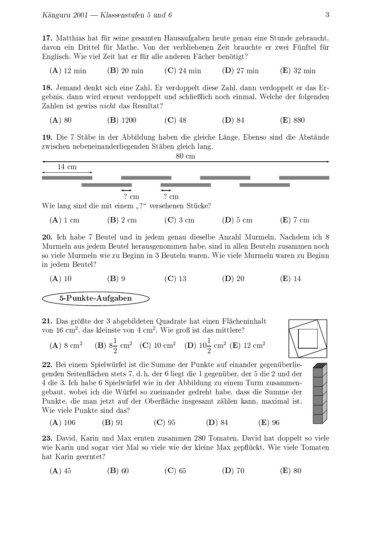17. Matthias hat für seine gesamten Hausaufgaben heute genau eine Stunde gebraucht, davon ein Drittel für Mathe. Von der verbliebenen Zeit brauchte er zwei Fünftel für Englisch. Wie viel Zeit hat er für alle anderen Fächer benötigt?

18. Jemand denkt sich eine Zahl. Er verdoppelt diese Zahl, dann verdoppelt er das Ergebnis, dann wird erneut verdoppelt und schließlich noch einmal. Welche der folgenden Zahlen ist gewiss *nicht* das Resultat?

$$
(A) 80 \t\t (B) 1200 \t\t (C) 48 \t\t (D) 84 \t\t (E) 880
$$

19. Die 7 Stäbe in der Abbildung haben die gleiche Länge. Ebenso sind die Abstände zwischen nebeneinanderliegenden Stäben gleich lang.



20. Ich habe 7 Beutel und in jedem genau dieselbe Anzahl Murmeln. Nachdem ich 8 Murmeln aus jedem Beutel herausgenommen habe, sind in allen Beuteln zusammen noch so viele Murmeln wie zu Beginn in 3 Beuteln waren. Wie viele Murmeln waren zu Beginn in jedem Beutel?

21. Das größte der 3 abgebildeten Quadrate hat einen Flächeninhalt von 16 cm<sup>2</sup>, das kleinste von 4 cm<sup>2</sup>. Wie groß ist das mittlere?

(**A**) 8 cm<sup>2</sup> (**B**) 8
$$
\frac{1}{2}
$$
 cm<sup>2</sup> (**C**) 10 cm<sup>2</sup> (**D**) 10 $\frac{1}{2}$  cm<sup>2</sup> (**E**) 12 cm<sup>2</sup>

22. Bei einem Spielwürfel ist die Summe der Punkte auf einander gegenüberliegenden Seitenflächen stets 7, d. h. der 6 liegt die 1 gegenüber, der 5 die 2 und der 4 die 3. Ich habe 6 Spielwürfel wie in der Abbildung zu einem Turm zusammengebaut, wobei ich die Würfel so zueinander gedreht habe, dass die Summe der Punkte, die man jetzt auf der Oberfläche insgesamt zählen kann, maximal ist. Wie viele Punkte sind das?





 $(C)$  95  $(A)$  106  $(B)$  91  $(D)$  84  $(E)$  96

23. David, Karin und Max ernten zusammen 280 Tomaten. David hat doppelt so viele wie Karin und sogar vier Mal so viele wie der kleine Max gepflückt. Wie viele Tomaten hat Karin geerntet?

$$
(A) 45 \t\t (B) 60 \t\t (C) 65 \t\t (D) 70 \t\t (E) 80
$$